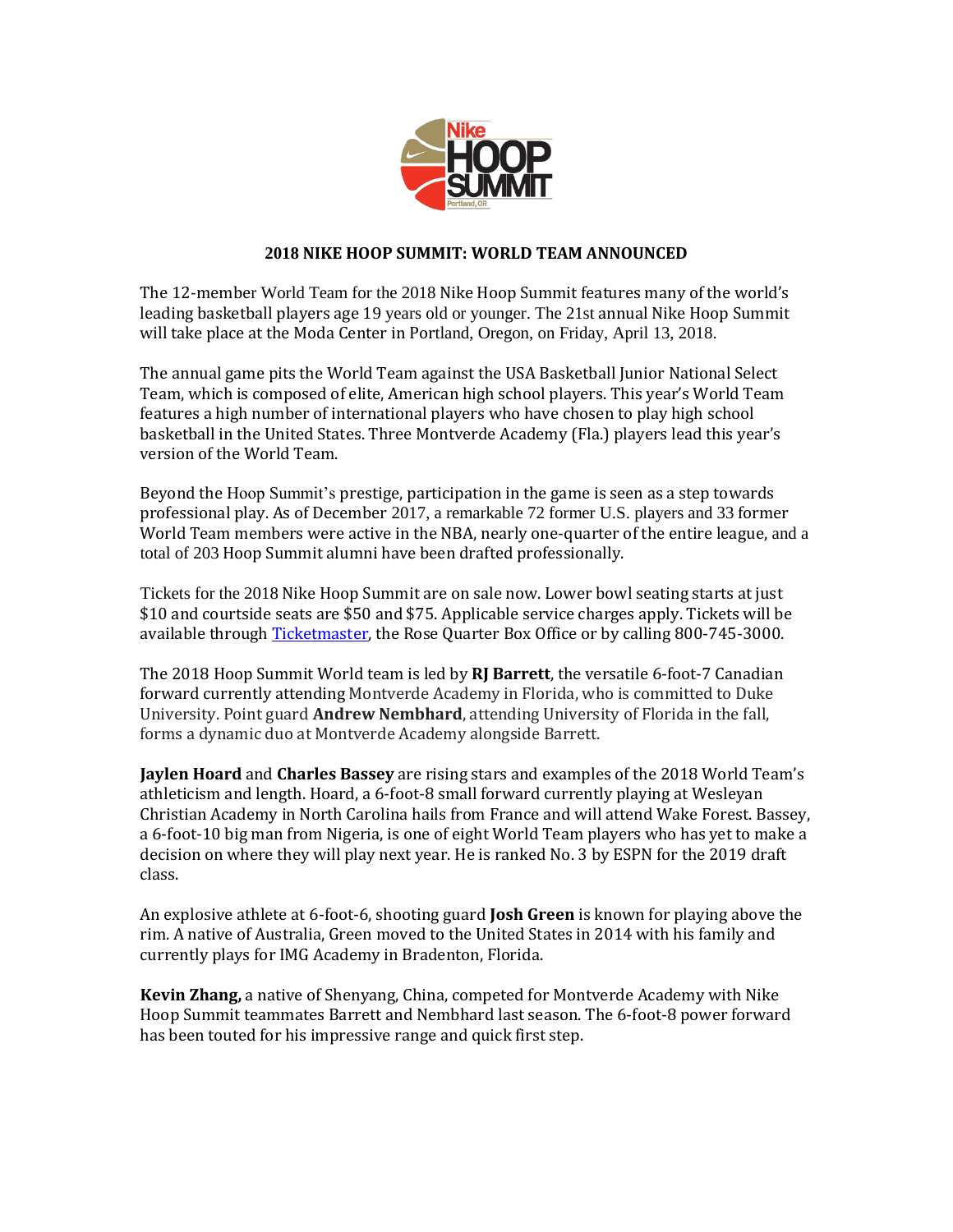

## **2018 NIKE HOOP SUMMIT: WORLD TEAM ANNOUNCED**

The 12-member World Team for the 2018 Nike Hoop Summit features many of the world's leading basketball players age 19 years old or younger. The 21st annual Nike Hoop Summit will take place at the Moda Center in Portland, Oregon, on Friday, April 13, 2018.

The annual game pits the World Team against the USA Basketball Junior National Select Team, which is composed of elite, American high school players. This year's World Team features a high number of international players who have chosen to play high school basketball in the United States. Three Montverde Academy (Fla.) players lead this year's version of the World Team.

Beyond the Hoop Summit's prestige, participation in the game is seen as a step towards professional play. As of December 2017, a remarkable 72 former U.S. players and 33 former World Team members were active in the NBA, nearly one-quarter of the entire league, and a total of 203 Hoop Summit alumni have been drafted professionally.

Tickets for the 2018 Nike Hoop Summit are on sale now. Lower bowl seating starts at just \$10 and courtside seats are \$50 and \$75. Applicable service charges apply. Tickets will be available throug[h Ticketmaster,](https://www1.ticketmaster.com/event/0F0053929D891B2D#efeat4212) the Rose Quarter Box Office or by calling 800-745-3000.

The 2018 Hoop Summit World team is led by **RJ Barrett**, the versatile 6-foot-7 Canadian forward currently attending Montverde Academy in Florida, who is committed to Duke University. Point guard **Andrew Nembhard**, attending University of Florida in the fall, forms a dynamic duo at Montverde Academy alongside Barrett.

**Jaylen Hoard** and **Charles Bassey** are rising stars and examples of the 2018 World Team's athleticism and length. Hoard, a 6-foot-8 small forward currently playing at Wesleyan Christian Academy in North Carolina hails from France and will attend Wake Forest. Bassey, a 6-foot-10 big man from Nigeria, is one of eight World Team players who has yet to make a decision on where they will play next year. He is ranked No. 3 by ESPN for the 2019 draft class.

An explosive athlete at 6-foot-6, shooting guard **Josh Green** is known for playing above the rim. A native of Australia, Green moved to the United States in 2014 with his family and currently plays for IMG Academy in Bradenton, Florida.

**Kevin Zhang,** a native of Shenyang, China, competed for Montverde Academy with Nike Hoop Summit teammates Barrett and Nembhard last season. The 6-foot-8 power forward has been touted for his impressive range and quick first step.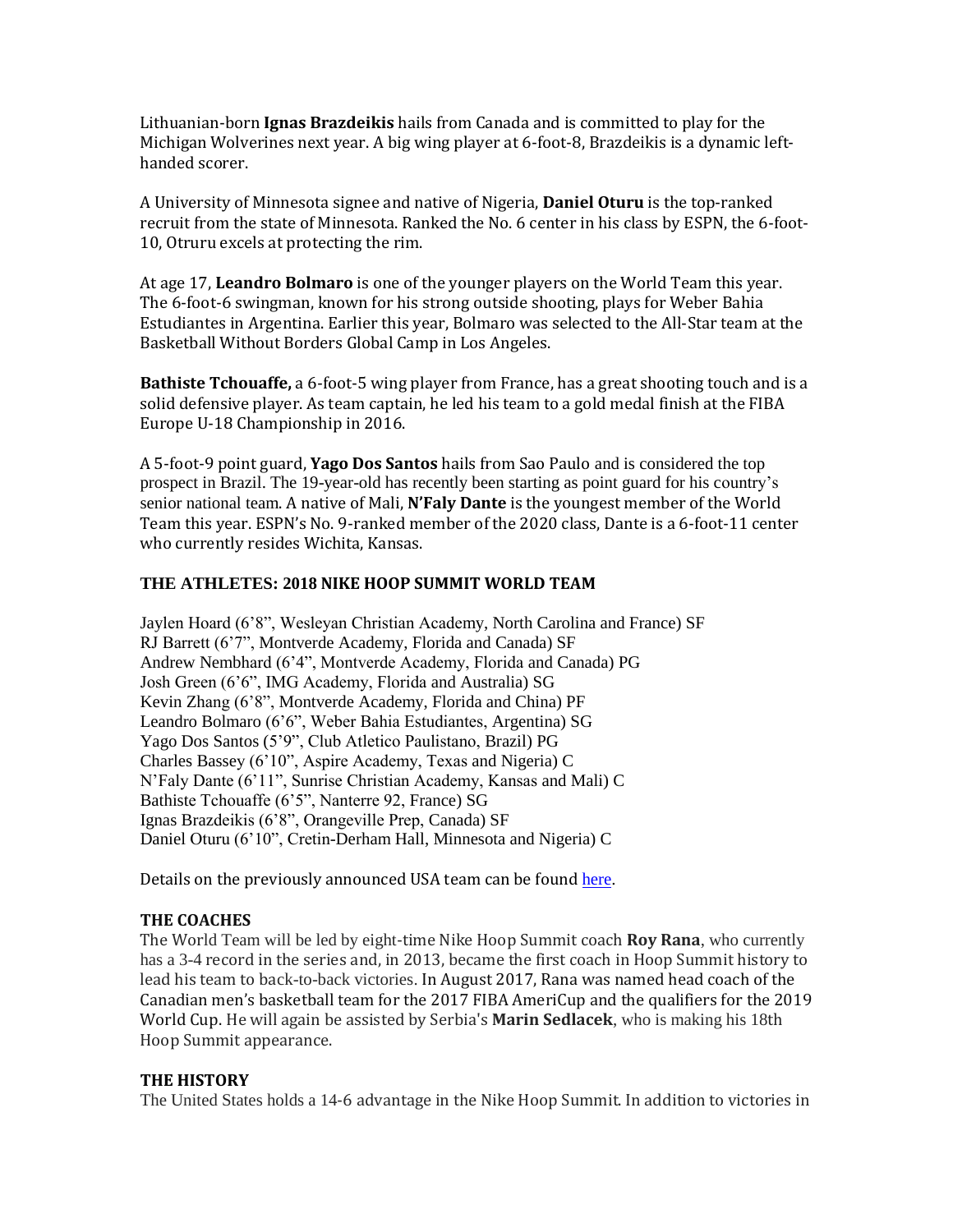Lithuanian-born **Ignas Brazdeikis** hails from Canada and is committed to play for the Michigan Wolverines next year. A big wing player at 6-foot-8, Brazdeikis is a dynamic lefthanded scorer.

A University of Minnesota signee and native of Nigeria, **Daniel Oturu** is the top-ranked recruit from the state of Minnesota. Ranked the No. 6 center in his class by ESPN, the 6-foot-10, Otruru excels at protecting the rim.

At age 17, **Leandro Bolmaro** is one of the younger players on the World Team this year. The 6-foot-6 swingman, known for his strong outside shooting, plays for Weber Bahia Estudiantes in Argentina. Earlier this year, Bolmaro was selected to the All-Star team at the Basketball Without Borders Global Camp in Los Angeles.

**Bathiste Tchouaffe,** a 6-foot-5 wing player from France, has a great shooting touch and is a solid defensive player. As team captain, he led his team to a gold medal finish at the FIBA Europe U-18 Championship in 2016.

A 5-foot-9 point guard, **Yago Dos Santos** hails from Sao Paulo and is considered the top prospect in Brazil. The 19-year-old has recently been starting as point guard for his country's senior national team. A native of Mali, **N'Faly Dante** is the youngest member of the World Team this year. ESPN's No. 9-ranked member of the 2020 class, Dante is a 6-foot-11 center who currently resides Wichita, Kansas.

## **THE ATHLETES: 2018 NIKE HOOP SUMMIT WORLD TEAM**

Jaylen Hoard (6'8", Wesleyan Christian Academy, North Carolina and France) SF RJ Barrett (6'7", Montverde Academy, Florida and Canada) SF Andrew Nembhard (6'4", Montverde Academy, Florida and Canada) PG Josh Green (6'6", IMG Academy, Florida and Australia) SG Kevin Zhang (6'8", Montverde Academy, Florida and China) PF Leandro Bolmaro (6'6", Weber Bahia Estudiantes, Argentina) SG Yago Dos Santos (5'9", Club Atletico Paulistano, Brazil) PG Charles Bassey (6'10", Aspire Academy, Texas and Nigeria) C N'Faly Dante (6'11", Sunrise Christian Academy, Kansas and Mali) C Bathiste Tchouaffe (6'5", Nanterre 92, France) SG Ignas Brazdeikis (6'8", Orangeville Prep, Canada) SF Daniel Oturu (6'10", Cretin-Derham Hall, Minnesota and Nigeria) C

Details on the previously announced USA team can be found [here.](https://www.usab.com/news-events/news/2018/03/usa-nike-hoop-summit-roster.aspx)

## **THE COACHES**

The World Team will be led by eight-time Nike Hoop Summit coach **Roy Rana**, who currently has a 3-4 record in the series and, in 2013, became the first coach in Hoop Summit history to lead his team to back-to-back victories. In August 2017, Rana was named head coach of the Canadian men's basketball team for the 2017 FIBA AmeriCup and the qualifiers for the 2019 World Cup. He will again be assisted by Serbia's **Marin Sedlacek**, who is making his 18th Hoop Summit appearance.

## **THE HISTORY**

The United States holds a 14-6 advantage in the Nike Hoop Summit. In addition to victories in